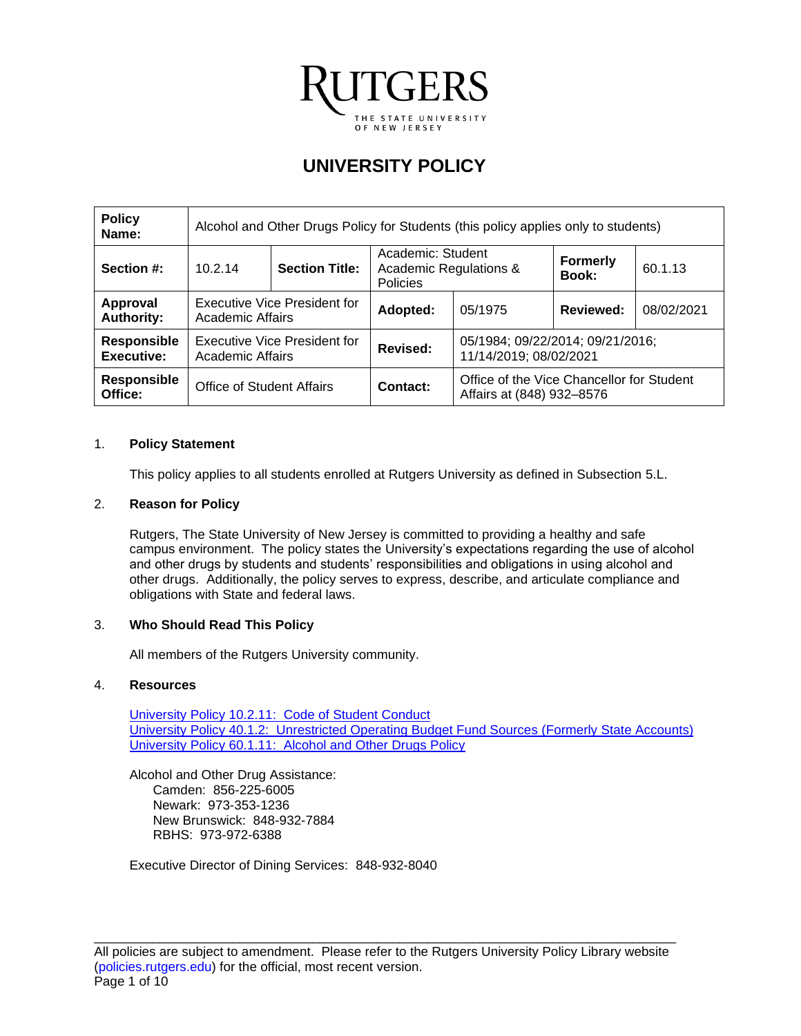

# **UNIVERSITY POLICY**

| <b>Policy</b><br>Name:                  | Alcohol and Other Drugs Policy for Students (this policy applies only to students) |                                                                                         |          |                                                                        |           |            |
|-----------------------------------------|------------------------------------------------------------------------------------|-----------------------------------------------------------------------------------------|----------|------------------------------------------------------------------------|-----------|------------|
| Section #:                              | 10.2.14                                                                            | Academic: Student<br><b>Section Title:</b><br>Academic Regulations &<br><b>Policies</b> |          | <b>Formerly</b><br>Book:                                               | 60.1.13   |            |
| Approval<br><b>Authority:</b>           | <b>Executive Vice President for</b><br>Academic Affairs                            |                                                                                         | Adopted: | 05/1975                                                                | Reviewed: | 08/02/2021 |
| <b>Responsible</b><br><b>Executive:</b> | Executive Vice President for<br>Academic Affairs                                   |                                                                                         | Revised: | 05/1984; 09/22/2014; 09/21/2016;<br>11/14/2019; 08/02/2021             |           |            |
| Responsible<br>Office:                  | <b>Office of Student Affairs</b>                                                   |                                                                                         | Contact: | Office of the Vice Chancellor for Student<br>Affairs at (848) 932-8576 |           |            |

### 1. **Policy Statement**

This policy applies to all students enrolled at Rutgers University as defined in Subsection 5.L.

### 2. **Reason for Policy**

Rutgers, The State University of New Jersey is committed to providing a healthy and safe campus environment. The policy states the University's expectations regarding the use of alcohol and other drugs by students and students' responsibilities and obligations in using alcohol and other drugs. Additionally, the policy serves to express, describe, and articulate compliance and obligations with State and federal laws.

#### 3. **Who Should Read This Policy**

All members of the Rutgers University community.

#### 4. **Resources**

[University Policy 10.2.11:](https://policies.rutgers.edu/10211-currentpdf) Code of Student Conduct [University Policy 40.1.2: Unrestricted Operating Budget Fund Sources \(Formerly State Accounts\)](https://policies.rutgers.edu/4012-currentpdf) University Policy 60.1.11: [Alcohol and Other Drugs Policy](https://policies.rutgers.edu/60111-currentpdf)

Alcohol and Other Drug Assistance: Camden: 856-225-6005 Newark: 973-353-1236 New Brunswick: 848-932-7884 RBHS: 973-972-6388

Executive Director of Dining Services: 848-932-8040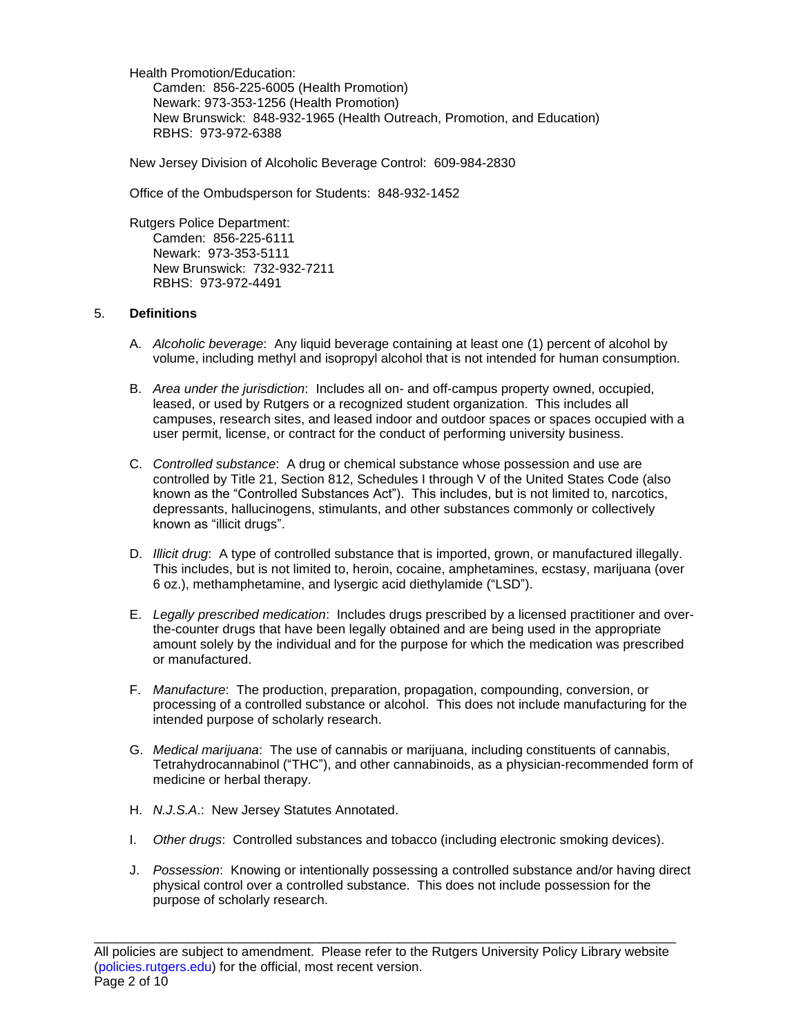Health Promotion/Education:

Camden: 856-225-6005 (Health Promotion) Newark: 973-353-1256 (Health Promotion) New Brunswick: 848-932-1965 (Health Outreach, Promotion, and Education) RBHS: 973-972-6388

New Jersey Division of Alcoholic Beverage Control: 609-984-2830

Office of the Ombudsperson for Students: 848-932-1452

Rutgers Police Department: Camden: 856-225-6111 Newark: 973-353-5111 New Brunswick: 732-932-7211 RBHS: 973-972-4491

# 5. **Definitions**

- A. *Alcoholic beverage*: Any liquid beverage containing at least one (1) percent of alcohol by volume, including methyl and isopropyl alcohol that is not intended for human consumption.
- B. *Area under the jurisdiction*: Includes all on- and off-campus property owned, occupied, leased, or used by Rutgers or a recognized student organization. This includes all campuses, research sites, and leased indoor and outdoor spaces or spaces occupied with a user permit, license, or contract for the conduct of performing university business.
- C. *Controlled substance*: A drug or chemical substance whose possession and use are controlled by Title 21, Section 812, Schedules I through V of the United States Code (also known as the "Controlled Substances Act"). This includes, but is not limited to, narcotics, depressants, hallucinogens, stimulants, and other substances commonly or collectively known as "illicit drugs".
- D. *Illicit drug*: A type of controlled substance that is imported, grown, or manufactured illegally. This includes, but is not limited to, heroin, cocaine, amphetamines, ecstasy, marijuana (over 6 oz.), methamphetamine, and lysergic acid diethylamide ("LSD").
- E. *Legally prescribed medication*: Includes drugs prescribed by a licensed practitioner and overthe-counter drugs that have been legally obtained and are being used in the appropriate amount solely by the individual and for the purpose for which the medication was prescribed or manufactured.
- F. *Manufacture*: The production, preparation, propagation, compounding, conversion, or processing of a controlled substance or alcohol. This does not include manufacturing for the intended purpose of scholarly research.
- G. *Medical marijuana*: The use of cannabis or marijuana, including constituents of cannabis, Tetrahydrocannabinol ("THC"), and other cannabinoids, as a physician-recommended form of medicine or herbal therapy.
- H. *N.J.S.A*.: New Jersey Statutes Annotated.
- I. *Other drugs*: Controlled substances and tobacco (including electronic smoking devices).
- J. *Possession*: Knowing or intentionally possessing a controlled substance and/or having direct physical control over a controlled substance. This does not include possession for the purpose of scholarly research.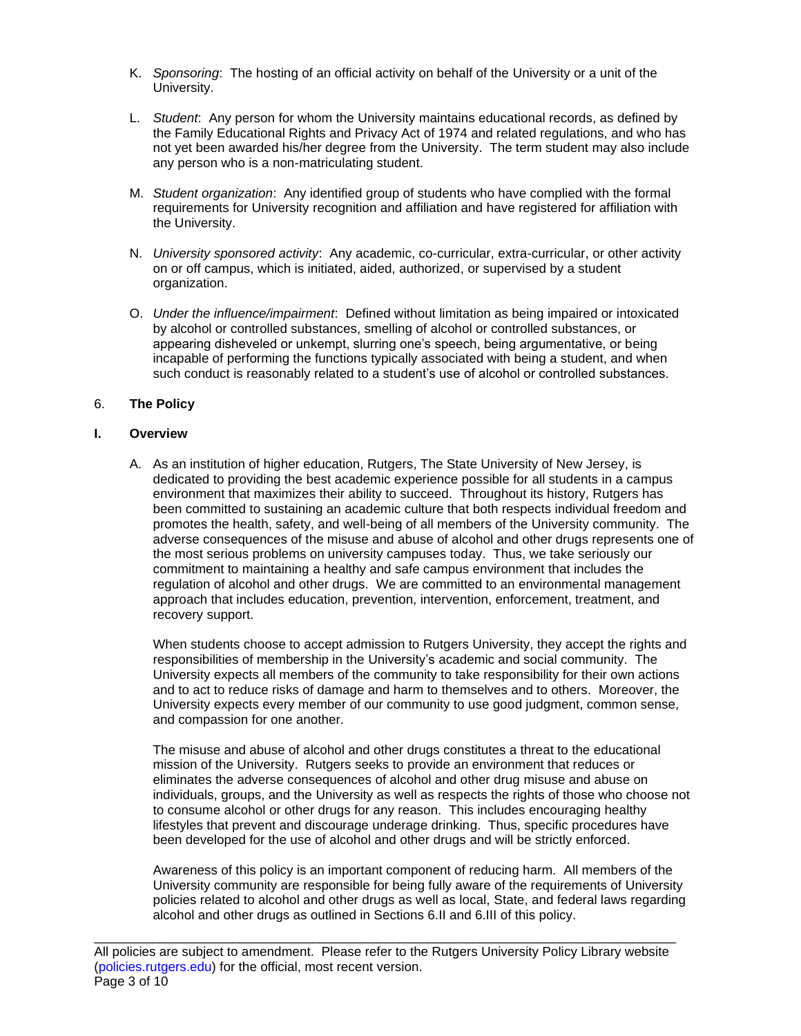- K. *Sponsoring*: The hosting of an official activity on behalf of the University or a unit of the University.
- L. *Student*: Any person for whom the University maintains educational records, as defined by the Family Educational Rights and Privacy Act of 1974 and related regulations, and who has not yet been awarded his/her degree from the University. The term student may also include any person who is a non-matriculating student.
- M. *Student organization*: Any identified group of students who have complied with the formal requirements for University recognition and affiliation and have registered for affiliation with the University.
- N. *University sponsored activity*: Any academic, co-curricular, extra-curricular, or other activity on or off campus, which is initiated, aided, authorized, or supervised by a student organization.
- O. *Under the influence/impairment*: Defined without limitation as being impaired or intoxicated by alcohol or controlled substances, smelling of alcohol or controlled substances, or appearing disheveled or unkempt, slurring one's speech, being argumentative, or being incapable of performing the functions typically associated with being a student, and when such conduct is reasonably related to a student's use of alcohol or controlled substances.

# 6. **The Policy**

# **I. Overview**

A. As an institution of higher education, Rutgers, The State University of New Jersey, is dedicated to providing the best academic experience possible for all students in a campus environment that maximizes their ability to succeed. Throughout its history, Rutgers has been committed to sustaining an academic culture that both respects individual freedom and promotes the health, safety, and well-being of all members of the University community. The adverse consequences of the misuse and abuse of alcohol and other drugs represents one of the most serious problems on university campuses today. Thus, we take seriously our commitment to maintaining a healthy and safe campus environment that includes the regulation of alcohol and other drugs. We are committed to an environmental management approach that includes education, prevention, intervention, enforcement, treatment, and recovery support.

When students choose to accept admission to Rutgers University, they accept the rights and responsibilities of membership in the University's academic and social community. The University expects all members of the community to take responsibility for their own actions and to act to reduce risks of damage and harm to themselves and to others. Moreover, the University expects every member of our community to use good judgment, common sense, and compassion for one another.

The misuse and abuse of alcohol and other drugs constitutes a threat to the educational mission of the University. Rutgers seeks to provide an environment that reduces or eliminates the adverse consequences of alcohol and other drug misuse and abuse on individuals, groups, and the University as well as respects the rights of those who choose not to consume alcohol or other drugs for any reason. This includes encouraging healthy lifestyles that prevent and discourage underage drinking. Thus, specific procedures have been developed for the use of alcohol and other drugs and will be strictly enforced.

Awareness of this policy is an important component of reducing harm. All members of the University community are responsible for being fully aware of the requirements of University policies related to alcohol and other drugs as well as local, State, and federal laws regarding alcohol and other drugs as outlined in Sections 6.II and 6.III of this policy.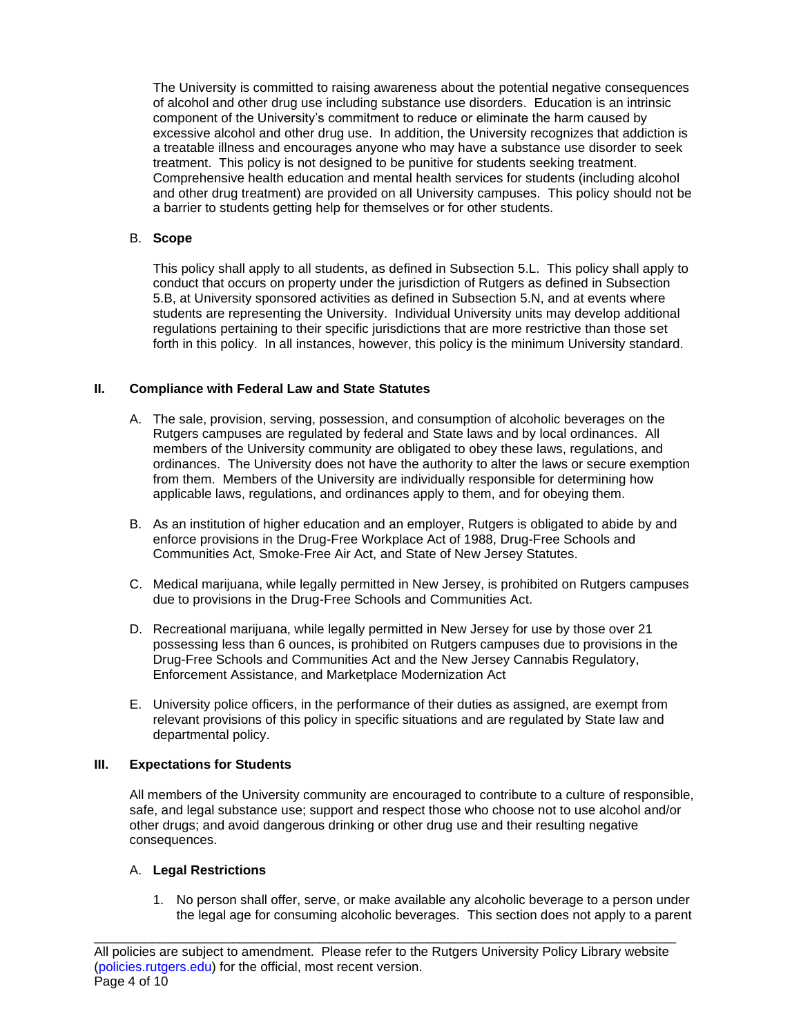The University is committed to raising awareness about the potential negative consequences of alcohol and other drug use including substance use disorders. Education is an intrinsic component of the University's commitment to reduce or eliminate the harm caused by excessive alcohol and other drug use. In addition, the University recognizes that addiction is a treatable illness and encourages anyone who may have a substance use disorder to seek treatment. This policy is not designed to be punitive for students seeking treatment. Comprehensive health education and mental health services for students (including alcohol and other drug treatment) are provided on all University campuses. This policy should not be a barrier to students getting help for themselves or for other students.

# B. **Scope**

This policy shall apply to all students, as defined in Subsection 5.L. This policy shall apply to conduct that occurs on property under the jurisdiction of Rutgers as defined in Subsection 5.B, at University sponsored activities as defined in Subsection 5.N, and at events where students are representing the University. Individual University units may develop additional regulations pertaining to their specific jurisdictions that are more restrictive than those set forth in this policy. In all instances, however, this policy is the minimum University standard.

### **II. Compliance with Federal Law and State Statutes**

- A. The sale, provision, serving, possession, and consumption of alcoholic beverages on the Rutgers campuses are regulated by federal and State laws and by local ordinances. All members of the University community are obligated to obey these laws, regulations, and ordinances. The University does not have the authority to alter the laws or secure exemption from them. Members of the University are individually responsible for determining how applicable laws, regulations, and ordinances apply to them, and for obeying them.
- B. As an institution of higher education and an employer, Rutgers is obligated to abide by and enforce provisions in the Drug-Free Workplace Act of 1988, Drug-Free Schools and Communities Act, Smoke-Free Air Act, and State of New Jersey Statutes.
- C. Medical marijuana, while legally permitted in New Jersey, is prohibited on Rutgers campuses due to provisions in the Drug-Free Schools and Communities Act.
- D. Recreational marijuana, while legally permitted in New Jersey for use by those over 21 possessing less than 6 ounces, is prohibited on Rutgers campuses due to provisions in the Drug-Free Schools and Communities Act and the New Jersey Cannabis Regulatory, Enforcement Assistance, and Marketplace Modernization Act
- E. University police officers, in the performance of their duties as assigned, are exempt from relevant provisions of this policy in specific situations and are regulated by State law and departmental policy.

#### **III. Expectations for Students**

All members of the University community are encouraged to contribute to a culture of responsible, safe, and legal substance use; support and respect those who choose not to use alcohol and/or other drugs; and avoid dangerous drinking or other drug use and their resulting negative consequences.

#### A. **Legal Restrictions**

1. No person shall offer, serve, or make available any alcoholic beverage to a person under the legal age for consuming alcoholic beverages. This section does not apply to a parent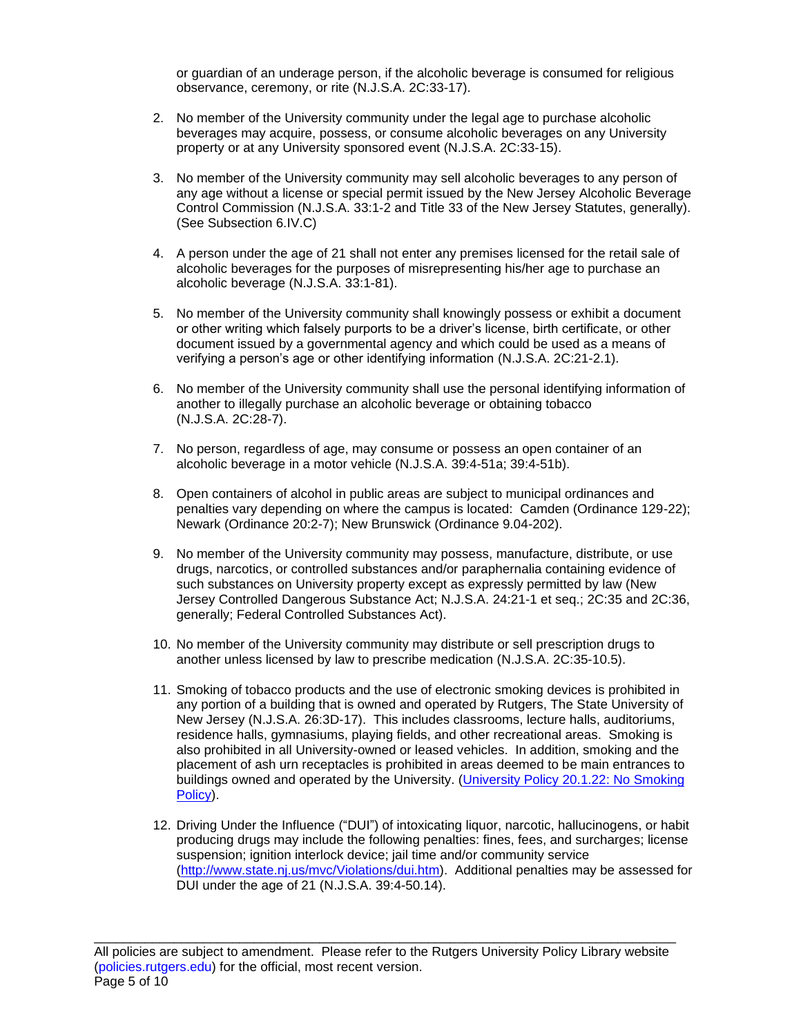or guardian of an underage person, if the alcoholic beverage is consumed for religious observance, ceremony, or rite (N.J.S.A. 2C:33-17).

- 2. No member of the University community under the legal age to purchase alcoholic beverages may acquire, possess, or consume alcoholic beverages on any University property or at any University sponsored event (N.J.S.A. 2C:33-15).
- 3. No member of the University community may sell alcoholic beverages to any person of any age without a license or special permit issued by the New Jersey Alcoholic Beverage Control Commission (N.J.S.A. 33:1-2 and Title 33 of the New Jersey Statutes, generally). (See Subsection 6.IV.C)
- 4. A person under the age of 21 shall not enter any premises licensed for the retail sale of alcoholic beverages for the purposes of misrepresenting his/her age to purchase an alcoholic beverage (N.J.S.A. 33:1-81).
- 5. No member of the University community shall knowingly possess or exhibit a document or other writing which falsely purports to be a driver's license, birth certificate, or other document issued by a governmental agency and which could be used as a means of verifying a person's age or other identifying information (N.J.S.A. 2C:21-2.1).
- 6. No member of the University community shall use the personal identifying information of another to illegally purchase an alcoholic beverage or obtaining tobacco (N.J.S.A. 2C:28-7).
- 7. No person, regardless of age, may consume or possess an open container of an alcoholic beverage in a motor vehicle (N.J.S.A. 39:4-51a; 39:4-51b).
- 8. Open containers of alcohol in public areas are subject to municipal ordinances and penalties vary depending on where the campus is located: Camden (Ordinance 129-22); Newark (Ordinance 20:2-7); New Brunswick (Ordinance 9.04-202).
- 9. No member of the University community may possess, manufacture, distribute, or use drugs, narcotics, or controlled substances and/or paraphernalia containing evidence of such substances on University property except as expressly permitted by law (New Jersey Controlled Dangerous Substance Act; N.J.S.A. 24:21-1 et seq.; 2C:35 and 2C:36, generally; Federal Controlled Substances Act).
- 10. No member of the University community may distribute or sell prescription drugs to another unless licensed by law to prescribe medication (N.J.S.A. 2C:35-10.5).
- 11. Smoking of tobacco products and the use of electronic smoking devices is prohibited in any portion of a building that is owned and operated by Rutgers, The State University of New Jersey (N.J.S.A. 26:3D-17). This includes classrooms, lecture halls, auditoriums, residence halls, gymnasiums, playing fields, and other recreational areas. Smoking is also prohibited in all University-owned or leased vehicles. In addition, smoking and the placement of ash urn receptacles is prohibited in areas deemed to be main entrances to buildings owned and operated by the University. [\(University Policy](https://policies.rutgers.edu/20122-currentpdf) 20.1.22: No Smoking [Policy\)](https://policies.rutgers.edu/20122-currentpdf).
- 12. Driving Under the Influence ("DUI") of intoxicating liquor, narcotic, hallucinogens, or habit producing drugs may include the following penalties: fines, fees, and surcharges; license suspension; ignition interlock device; jail time and/or community service [\(http://www.state.nj.us/mvc/Violations/dui.htm\)](http://www.state.nj.us/mvc/Violations/dui.htm). Additional penalties may be assessed for DUI under the age of 21 (N.J.S.A. 39:4-50.14).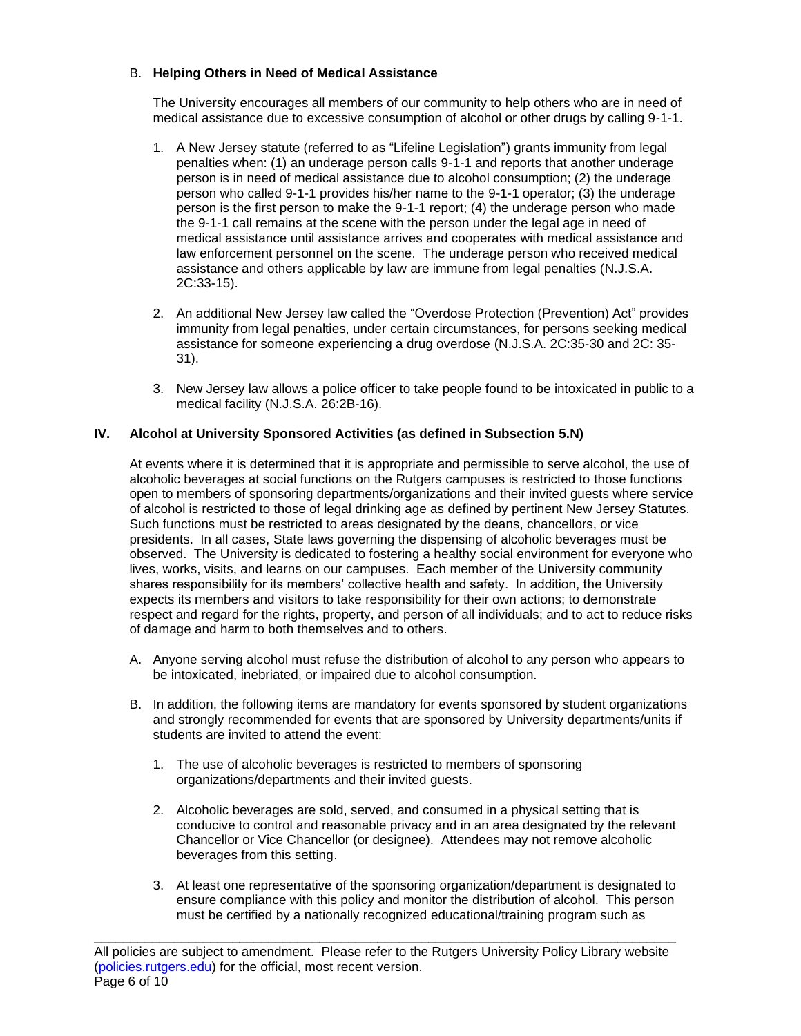# B. **Helping Others in Need of Medical Assistance**

The University encourages all members of our community to help others who are in need of medical assistance due to excessive consumption of alcohol or other drugs by calling 9-1-1.

- 1. A New Jersey statute (referred to as "Lifeline Legislation") grants immunity from legal penalties when: (1) an underage person calls 9-1-1 and reports that another underage person is in need of medical assistance due to alcohol consumption; (2) the underage person who called 9-1-1 provides his/her name to the 9-1-1 operator; (3) the underage person is the first person to make the 9-1-1 report; (4) the underage person who made the 9-1-1 call remains at the scene with the person under the legal age in need of medical assistance until assistance arrives and cooperates with medical assistance and law enforcement personnel on the scene. The underage person who received medical assistance and others applicable by law are immune from legal penalties (N.J.S.A. 2C:33-15).
- 2. An additional New Jersey law called the "Overdose Protection (Prevention) Act" provides immunity from legal penalties, under certain circumstances, for persons seeking medical assistance for someone experiencing a drug overdose (N.J.S.A. 2C:35-30 and 2C: 35- 31).
- 3. New Jersey law allows a police officer to take people found to be intoxicated in public to a medical facility (N.J.S.A. 26:2B-16).

# **IV. Alcohol at University Sponsored Activities (as defined in Subsection 5.N)**

At events where it is determined that it is appropriate and permissible to serve alcohol, the use of alcoholic beverages at social functions on the Rutgers campuses is restricted to those functions open to members of sponsoring departments/organizations and their invited guests where service of alcohol is restricted to those of legal drinking age as defined by pertinent New Jersey Statutes. Such functions must be restricted to areas designated by the deans, chancellors, or vice presidents. In all cases, State laws governing the dispensing of alcoholic beverages must be observed. The University is dedicated to fostering a healthy social environment for everyone who lives, works, visits, and learns on our campuses. Each member of the University community shares responsibility for its members' collective health and safety. In addition, the University expects its members and visitors to take responsibility for their own actions; to demonstrate respect and regard for the rights, property, and person of all individuals; and to act to reduce risks of damage and harm to both themselves and to others.

- A. Anyone serving alcohol must refuse the distribution of alcohol to any person who appears to be intoxicated, inebriated, or impaired due to alcohol consumption.
- B. In addition, the following items are mandatory for events sponsored by student organizations and strongly recommended for events that are sponsored by University departments/units if students are invited to attend the event:
	- 1. The use of alcoholic beverages is restricted to members of sponsoring organizations/departments and their invited guests.
	- 2. Alcoholic beverages are sold, served, and consumed in a physical setting that is conducive to control and reasonable privacy and in an area designated by the relevant Chancellor or Vice Chancellor (or designee). Attendees may not remove alcoholic beverages from this setting.
	- 3. At least one representative of the sponsoring organization/department is designated to ensure compliance with this policy and monitor the distribution of alcohol. This person must be certified by a nationally recognized educational/training program such as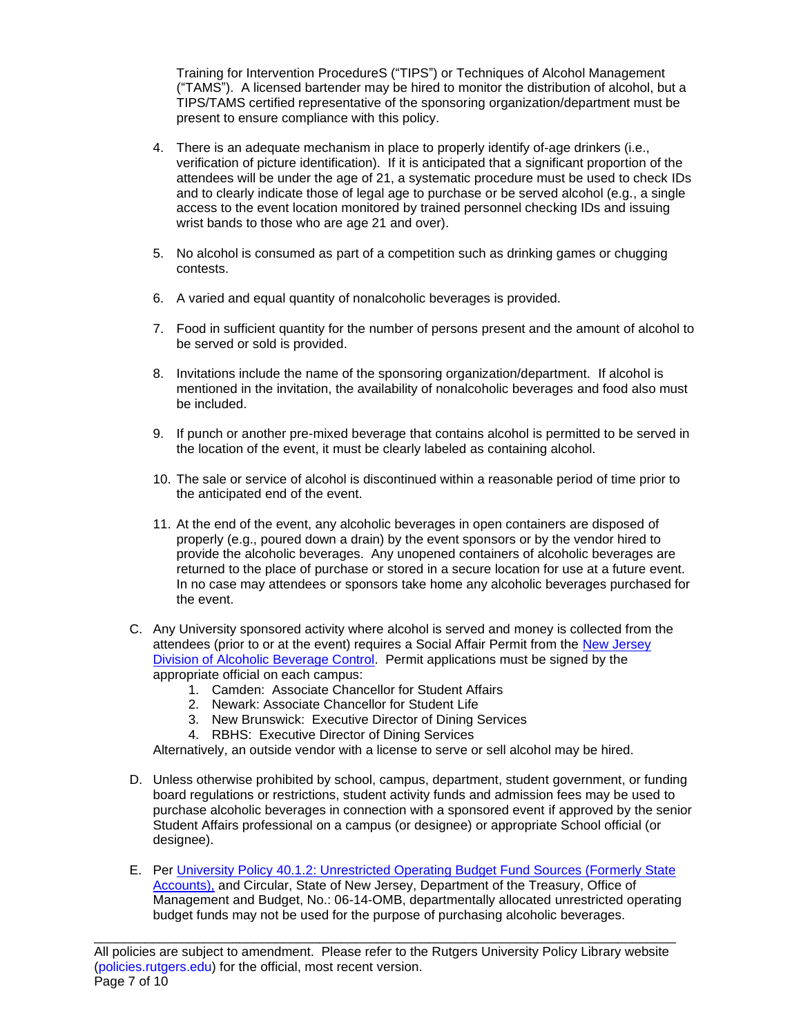Training for Intervention ProcedureS ("TIPS") or Techniques of Alcohol Management ("TAMS"). A licensed bartender may be hired to monitor the distribution of alcohol, but a TIPS/TAMS certified representative of the sponsoring organization/department must be present to ensure compliance with this policy.

- 4. There is an adequate mechanism in place to properly identify of-age drinkers (i.e., verification of picture identification). If it is anticipated that a significant proportion of the attendees will be under the age of 21, a systematic procedure must be used to check IDs and to clearly indicate those of legal age to purchase or be served alcohol (e.g., a single access to the event location monitored by trained personnel checking IDs and issuing wrist bands to those who are age 21 and over).
- 5. No alcohol is consumed as part of a competition such as drinking games or chugging contests.
- 6. A varied and equal quantity of nonalcoholic beverages is provided.
- 7. Food in sufficient quantity for the number of persons present and the amount of alcohol to be served or sold is provided.
- 8. Invitations include the name of the sponsoring organization/department. If alcohol is mentioned in the invitation, the availability of nonalcoholic beverages and food also must be included.
- 9. If punch or another pre-mixed beverage that contains alcohol is permitted to be served in the location of the event, it must be clearly labeled as containing alcohol.
- 10. The sale or service of alcohol is discontinued within a reasonable period of time prior to the anticipated end of the event.
- 11. At the end of the event, any alcoholic beverages in open containers are disposed of properly (e.g., poured down a drain) by the event sponsors or by the vendor hired to provide the alcoholic beverages. Any unopened containers of alcoholic beverages are returned to the place of purchase or stored in a secure location for use at a future event. In no case may attendees or sponsors take home any alcoholic beverages purchased for the event.
- C. Any University sponsored activity where alcohol is served and money is collected from the attendees (prior to or at the event) requires a Social Affair Permit from the [New Jersey](https://www.njoag.gov/about/divisions-and-offices/division-of-alcoholic-beverage-control-home/)  [Division of Alcoholic Beverage Control.](https://www.njoag.gov/about/divisions-and-offices/division-of-alcoholic-beverage-control-home/) Permit applications must be signed by the appropriate official on each campus:
	- 1. Camden: Associate Chancellor for Student Affairs
	- 2. Newark: Associate Chancellor for Student Life
	- 3. New Brunswick: Executive Director of Dining Services
	- 4. RBHS: Executive Director of Dining Services

Alternatively, an outside vendor with a license to serve or sell alcohol may be hired.

- D. Unless otherwise prohibited by school, campus, department, student government, or funding board regulations or restrictions, student activity funds and admission fees may be used to purchase alcoholic beverages in connection with a sponsored event if approved by the senior Student Affairs professional on a campus (or designee) or appropriate School official (or designee).
- E. Per University Policy 40.1.2: [Unrestricted Operating Budget Fund Sources \(Formerly State](https://policies.rutgers.edu/4012-currentpdf)  [Accounts\),](https://policies.rutgers.edu/4012-currentpdf) and Circular, State of New Jersey, Department of the Treasury, Office of Management and Budget, No.: 06-14-OMB, departmentally allocated unrestricted operating budget funds may not be used for the purpose of purchasing alcoholic beverages.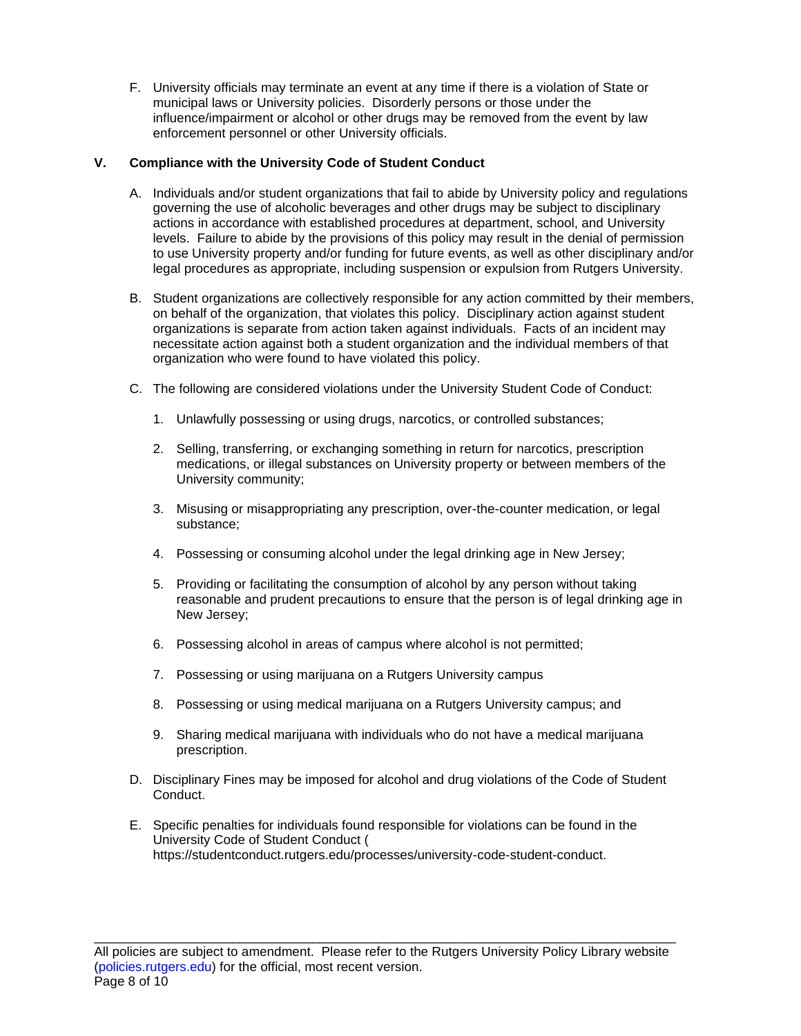F. University officials may terminate an event at any time if there is a violation of State or municipal laws or University policies. Disorderly persons or those under the influence/impairment or alcohol or other drugs may be removed from the event by law enforcement personnel or other University officials.

# **V. Compliance with the University Code of Student Conduct**

- A. Individuals and/or student organizations that fail to abide by University policy and regulations governing the use of alcoholic beverages and other drugs may be subject to disciplinary actions in accordance with established procedures at department, school, and University levels. Failure to abide by the provisions of this policy may result in the denial of permission to use University property and/or funding for future events, as well as other disciplinary and/or legal procedures as appropriate, including suspension or expulsion from Rutgers University.
- B. Student organizations are collectively responsible for any action committed by their members, on behalf of the organization, that violates this policy. Disciplinary action against student organizations is separate from action taken against individuals. Facts of an incident may necessitate action against both a student organization and the individual members of that organization who were found to have violated this policy.
- C. The following are considered violations under the University Student Code of Conduct:
	- 1. Unlawfully possessing or using drugs, narcotics, or controlled substances;
	- 2. Selling, transferring, or exchanging something in return for narcotics, prescription medications, or illegal substances on University property or between members of the University community;
	- 3. Misusing or misappropriating any prescription, over-the-counter medication, or legal substance;
	- 4. Possessing or consuming alcohol under the legal drinking age in New Jersey;
	- 5. Providing or facilitating the consumption of alcohol by any person without taking reasonable and prudent precautions to ensure that the person is of legal drinking age in New Jersey;
	- 6. Possessing alcohol in areas of campus where alcohol is not permitted;
	- 7. Possessing or using marijuana on a Rutgers University campus
	- 8. Possessing or using medical marijuana on a Rutgers University campus; and
	- 9. Sharing medical marijuana with individuals who do not have a medical marijuana prescription.
- D. Disciplinary Fines may be imposed for alcohol and drug violations of the Code of Student Conduct.
- E. Specific penalties for individuals found responsible for violations can be found in the University Code of Student Conduct ( https://studentconduct.rutgers.edu/processes/university-code-student-conduct.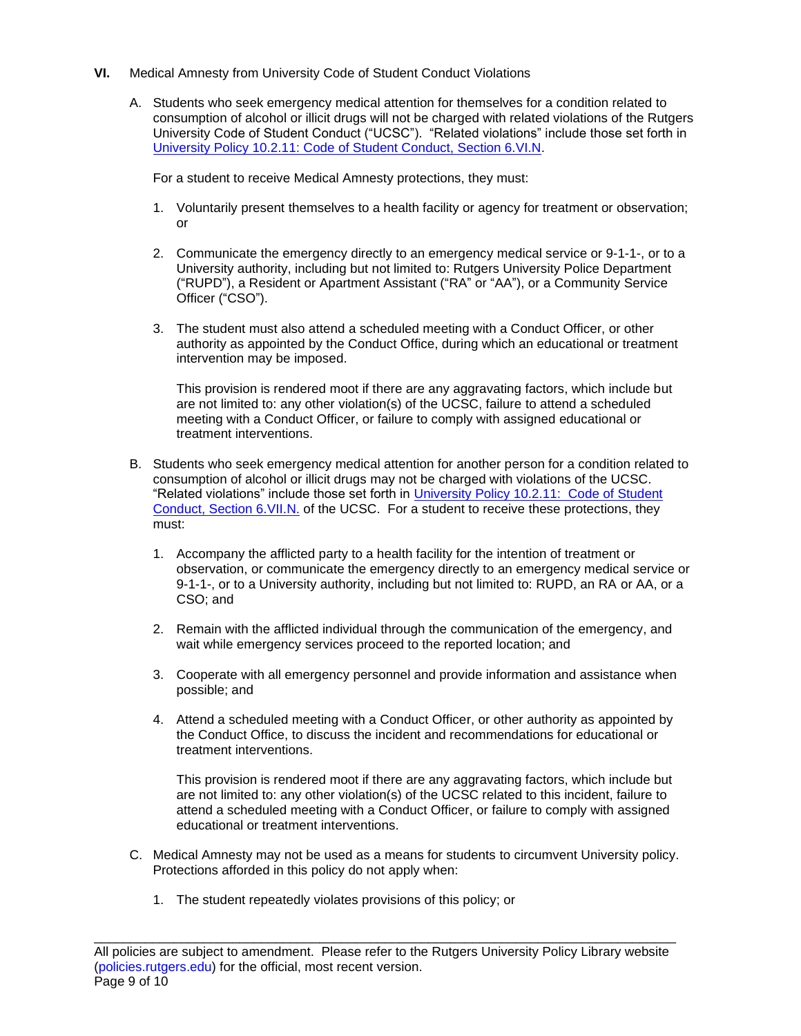- **VI.** Medical Amnesty from University Code of Student Conduct Violations
	- A. Students who seek emergency medical attention for themselves for a condition related to consumption of alcohol or illicit drugs will not be charged with related violations of the Rutgers University Code of Student Conduct ("UCSC"). "Related violations" include those set forth in University Policy 10.2.11: [Code of Student Conduct, Section 6.VI.N.](https://policies.rutgers.edu/10211-currentpdf)

For a student to receive Medical Amnesty protections, they must:

- 1. Voluntarily present themselves to a health facility or agency for treatment or observation; or
- 2. Communicate the emergency directly to an emergency medical service or 9-1-1-, or to a University authority, including but not limited to: Rutgers University Police Department ("RUPD"), a Resident or Apartment Assistant ("RA" or "AA"), or a Community Service Officer ("CSO").
- 3. The student must also attend a scheduled meeting with a Conduct Officer, or other authority as appointed by the Conduct Office, during which an educational or treatment intervention may be imposed.

This provision is rendered moot if there are any aggravating factors, which include but are not limited to: any other violation(s) of the UCSC, failure to attend a scheduled meeting with a Conduct Officer, or failure to comply with assigned educational or treatment interventions.

- B. Students who seek emergency medical attention for another person for a condition related to consumption of alcohol or illicit drugs may not be charged with violations of the UCSC. "Related violations" include those set forth in [University Policy 10.2.11: Code of Student](https://policies.rutgers.edu/10211-currentpdf)  [Conduct, Section 6.VII.N.](https://policies.rutgers.edu/10211-currentpdf) of the UCSC. For a student to receive these protections, they must:
	- 1. Accompany the afflicted party to a health facility for the intention of treatment or observation, or communicate the emergency directly to an emergency medical service or 9-1-1-, or to a University authority, including but not limited to: RUPD, an RA or AA, or a CSO; and
	- 2. Remain with the afflicted individual through the communication of the emergency, and wait while emergency services proceed to the reported location; and
	- 3. Cooperate with all emergency personnel and provide information and assistance when possible; and
	- 4. Attend a scheduled meeting with a Conduct Officer, or other authority as appointed by the Conduct Office, to discuss the incident and recommendations for educational or treatment interventions.

This provision is rendered moot if there are any aggravating factors, which include but are not limited to: any other violation(s) of the UCSC related to this incident, failure to attend a scheduled meeting with a Conduct Officer, or failure to comply with assigned educational or treatment interventions.

- C. Medical Amnesty may not be used as a means for students to circumvent University policy. Protections afforded in this policy do not apply when:
	- 1. The student repeatedly violates provisions of this policy; or